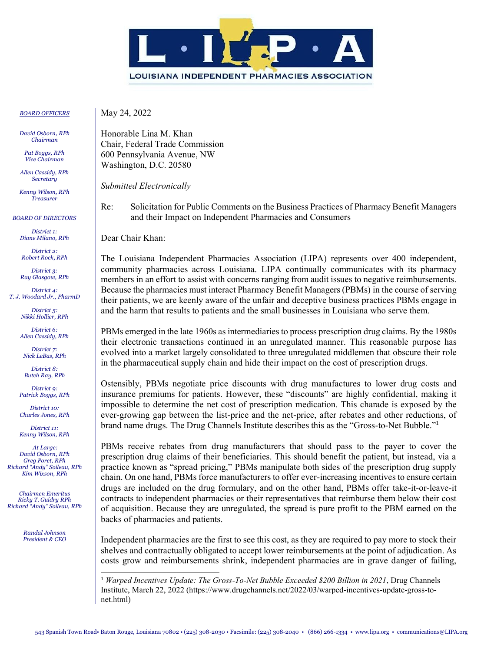

*BOARD OFFICERS*

*David Osborn, RPh Chairman* 

*Pat Boggs, RPh Vice Chairman*

*Allen Cassidy, RPh Secretary*

*Kenny Wilson, RPh Treasurer*

*BOARD OF DIRECTORS*

*District 1: Diane Milano, RPh*

*District 2: Robert Rock, RPh*

*District 3: Ray Glasgow, RPh*

*District 4: T. J. Woodard Jr., PharmD*

> *District 5: Nikki Hollier, RPh*

> *District 6: Allen Cassidy, RPh*

*District 7: Nick LeBas, RPh*

*District 8: Butch Ray, RPh*

*District 9: Patrick Boggs, RPh*

*District 10: Charles Jones, RPh*

*District 11: Kenny Wilson, RPh*

*At Large: David Osborn, RPh Greg Poret, RPh Richard "Andy" Soileau, RPh Kim Wixson, RPh*

*Chairmen Emeritus Ricky T. Guidry RPh Richard "Andy" Soileau, RPh*

> *Randal Johnson President & CEO*

May 24, 2022

Honorable Lina M. Khan Chair, Federal Trade Commission 600 Pennsylvania Avenue, NW Washington, D.C. 20580

*Submitted Electronically*

Re: Solicitation for Public Comments on the Business Practices of Pharmacy Benefit Managers and their Impact on Independent Pharmacies and Consumers

Dear Chair Khan:

The Louisiana Independent Pharmacies Association (LIPA) represents over 400 independent, community pharmacies across Louisiana. LIPA continually communicates with its pharmacy members in an effort to assist with concerns ranging from audit issues to negative reimbursements. Because the pharmacies must interact Pharmacy Benefit Managers (PBMs) in the course of serving their patients, we are keenly aware of the unfair and deceptive business practices PBMs engage in and the harm that results to patients and the small businesses in Louisiana who serve them.

PBMs emerged in the late 1960s as intermediaries to process prescription drug claims. By the 1980s their electronic transactions continued in an unregulated manner. This reasonable purpose has evolved into a market largely consolidated to three unregulated middlemen that obscure their role in the pharmaceutical supply chain and hide their impact on the cost of prescription drugs.

Ostensibly, PBMs negotiate price discounts with drug manufactures to lower drug costs and insurance premiums for patients. However, these "discounts" are highly confidential, making it impossible to determine the net cost of prescription medication. This charade is exposed by the ever-growing gap between the list-price and the net-price, after rebates and other reductions, of brand name drugs. The Drug Channels Institute describes this as the "Gross-to-Net Bubble."<sup>1</sup>

PBMs receive rebates from drug manufacturers that should pass to the payer to cover the prescription drug claims of their beneficiaries. This should benefit the patient, but instead, via a practice known as "spread pricing," PBMs manipulate both sides of the prescription drug supply chain. On one hand, PBMs force manufacturers to offer ever-increasing incentives to ensure certain drugs are included on the drug formulary, and on the other hand, PBMs offer take-it-or-leave-it contracts to independent pharmacies or their representatives that reimburse them below their cost of acquisition. Because they are unregulated, the spread is pure profit to the PBM earned on the backs of pharmacies and patients.

Independent pharmacies are the first to see this cost, as they are required to pay more to stock their shelves and contractually obligated to accept lower reimbursements at the point of adjudication. As costs grow and reimbursements shrink, independent pharmacies are in grave danger of failing,

<sup>1</sup> *Warped Incentives Update: The Gross-To-Net Bubble Exceeded \$200 Billion in 2021*, Drug Channels Institute, March 22, 2022 (https://www.drugchannels.net/2022/03/warped-incentives-update-gross-tonet.html)